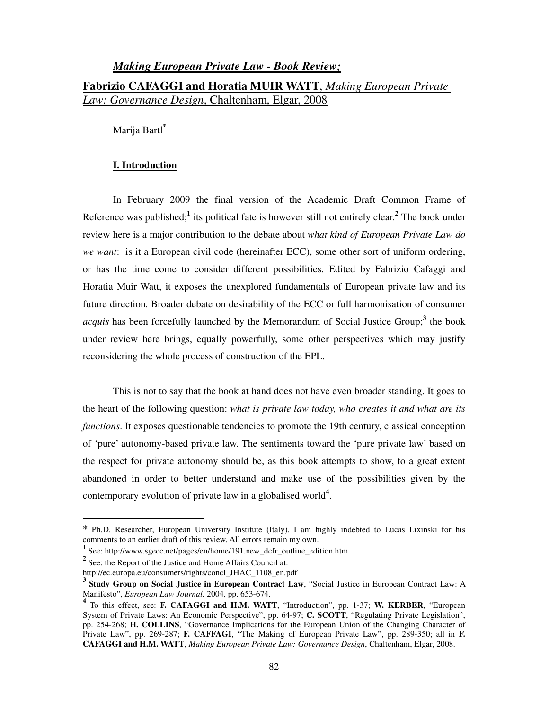# *Making European Private Law - Book Review;* **Fabrizio CAFAGGI and Horatia MUIR WATT**, *Making European Private Law: Governance Design*, Chaltenham, Elgar, 2008

Marija Bartl**\***

### **I. Introduction**

In February 2009 the final version of the Academic Draft Common Frame of Reference was published;<sup>1</sup> its political fate is however still not entirely clear.<sup>2</sup> The book under review here is a major contribution to the debate about *what kind of European Private Law do we want*: is it a European civil code (hereinafter ECC), some other sort of uniform ordering, or has the time come to consider different possibilities. Edited by Fabrizio Cafaggi and Horatia Muir Watt, it exposes the unexplored fundamentals of European private law and its future direction. Broader debate on desirability of the ECC or full harmonisation of consumer *acquis* has been forcefully launched by the Memorandum of Social Justice Group;**<sup>3</sup>** the book under review here brings, equally powerfully, some other perspectives which may justify reconsidering the whole process of construction of the EPL.

This is not to say that the book at hand does not have even broader standing. It goes to the heart of the following question: *what is private law today, who creates it and what are its functions*. It exposes questionable tendencies to promote the 19th century, classical conception of 'pure' autonomy-based private law. The sentiments toward the 'pure private law' based on the respect for private autonomy should be, as this book attempts to show, to a great extent abandoned in order to better understand and make use of the possibilities given by the contemporary evolution of private law in a globalised world**<sup>4</sup>** .

**<sup>\*</sup>** Ph.D. Researcher, European University Institute (Italy). I am highly indebted to Lucas Lixinski for his comments to an earlier draft of this review. All errors remain my own.

**<sup>1</sup>** See: http://www.sgecc.net/pages/en/home/191.new\_dcfr\_outline\_edition.htm

**<sup>2</sup>** See: the Report of the Justice and Home Affairs Council at:

http://ec.europa.eu/consumers/rights/concl\_JHAC\_1108\_en.pdf

<sup>&</sup>lt;sup>3</sup> Study Group on Social Justice in European Contract Law, "Social Justice in European Contract Law: A Manifesto", *European Law Journal,* 2004, pp. 653-674.

**<sup>4</sup>** To this effect, see: **F. CAFAGGI and H.M. WATT**, "Introduction", pp. 1-37; **W. KERBER**, "European System of Private Laws: An Economic Perspective", pp. 64-97; **C. SCOTT**, "Regulating Private Legislation", pp. 254-268; **H. COLLINS**, "Governance Implications for the European Union of the Changing Character of Private Law", pp. 269-287; **F. CAFFAGI**, "The Making of European Private Law", pp. 289-350; all in **F. CAFAGGI and H.M. WATT**, *Making European Private Law: Governance Design*, Chaltenham, Elgar, 2008.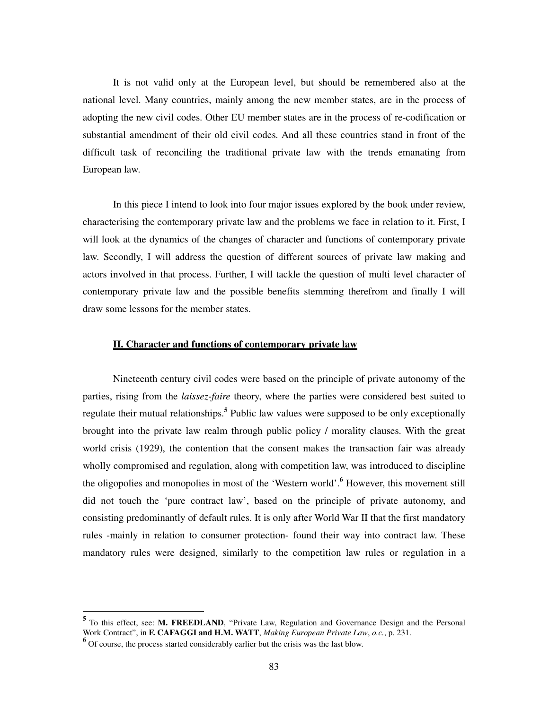It is not valid only at the European level, but should be remembered also at the national level. Many countries, mainly among the new member states, are in the process of adopting the new civil codes. Other EU member states are in the process of re-codification or substantial amendment of their old civil codes. And all these countries stand in front of the difficult task of reconciling the traditional private law with the trends emanating from European law.

In this piece I intend to look into four major issues explored by the book under review, characterising the contemporary private law and the problems we face in relation to it. First, I will look at the dynamics of the changes of character and functions of contemporary private law. Secondly, I will address the question of different sources of private law making and actors involved in that process. Further, I will tackle the question of multi level character of contemporary private law and the possible benefits stemming therefrom and finally I will draw some lessons for the member states.

## **II. Character and functions of contemporary private law**

Nineteenth century civil codes were based on the principle of private autonomy of the parties, rising from the *laissez-faire* theory, where the parties were considered best suited to regulate their mutual relationships.**<sup>5</sup>** Public law values were supposed to be only exceptionally brought into the private law realm through public policy / morality clauses. With the great world crisis (1929), the contention that the consent makes the transaction fair was already wholly compromised and regulation, along with competition law, was introduced to discipline the oligopolies and monopolies in most of the 'Western world'.<sup>6</sup> However, this movement still did not touch the 'pure contract law', based on the principle of private autonomy, and consisting predominantly of default rules. It is only after World War II that the first mandatory rules -mainly in relation to consumer protection- found their way into contract law. These mandatory rules were designed, similarly to the competition law rules or regulation in a

<sup>&</sup>lt;sup>5</sup> To this effect, see: M. FREEDLAND, "Private Law, Regulation and Governance Design and the Personal Work Contract", in **F. CAFAGGI and H.M. WATT**, *Making European Private Law*, *o.c.*, p. 231.

**<sup>6</sup>** Of course, the process started considerably earlier but the crisis was the last blow.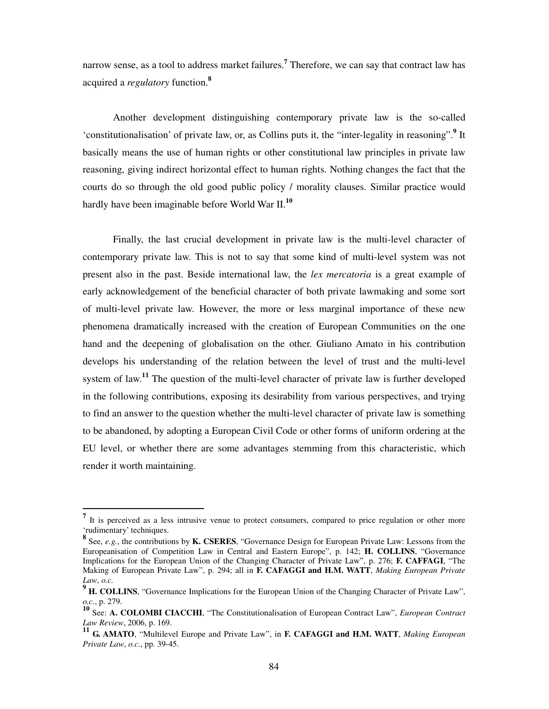narrow sense, as a tool to address market failures.**<sup>7</sup>** Therefore, we can say that contract law has acquired a *regulatory* function.**<sup>8</sup>**

Another development distinguishing contemporary private law is the so-called 'constitutionalisation' of private law, or, as Collins puts it, the "inter-legality in reasoning".**<sup>9</sup>** It basically means the use of human rights or other constitutional law principles in private law reasoning, giving indirect horizontal effect to human rights. Nothing changes the fact that the courts do so through the old good public policy / morality clauses. Similar practice would hardly have been imaginable before World War II.**<sup>10</sup>**

Finally, the last crucial development in private law is the multi-level character of contemporary private law. This is not to say that some kind of multi-level system was not present also in the past. Beside international law, the *lex mercatoria* is a great example of early acknowledgement of the beneficial character of both private lawmaking and some sort of multi-level private law. However, the more or less marginal importance of these new phenomena dramatically increased with the creation of European Communities on the one hand and the deepening of globalisation on the other. Giuliano Amato in his contribution develops his understanding of the relation between the level of trust and the multi-level system of law.**<sup>11</sup>** The question of the multi-level character of private law is further developed in the following contributions, exposing its desirability from various perspectives, and trying to find an answer to the question whether the multi-level character of private law is something to be abandoned, by adopting a European Civil Code or other forms of uniform ordering at the EU level, or whether there are some advantages stemming from this characteristic, which render it worth maintaining.

<sup>&</sup>lt;sup>7</sup> It is perceived as a less intrusive venue to protect consumers, compared to price regulation or other more 'rudimentary' techniques.

**<sup>8</sup>** See, *e.g.*, the contributions by **K. CSERES**, "Governance Design for European Private Law: Lessons from the Europeanisation of Competition Law in Central and Eastern Europe", p. 142; **H. COLLINS**, "Governance Implications for the European Union of the Changing Character of Private Law", p. 276; **F. CAFFAGI**, "The Making of European Private Law", p. 294; all in **F. CAFAGGI and H.M. WATT**, *Making European Private Law*, *o.c.*

<sup>&</sup>lt;sup>9</sup> **H. COLLINS**, "Governance Implications for the European Union of the Changing Character of Private Law", *o.c.*, p. 279.

**<sup>10</sup>** See: **A. COLOMBI CIACCHI**, "The Constitutionalisation of European Contract Law", *European Contract Law Review*, 2006, p. 169.

**<sup>11</sup> G. AMATO**, "Multilevel Europe and Private Law", in **F. CAFAGGI and H.M. WATT**, *Making European Private Law*, *o.c.*, pp. 39-45.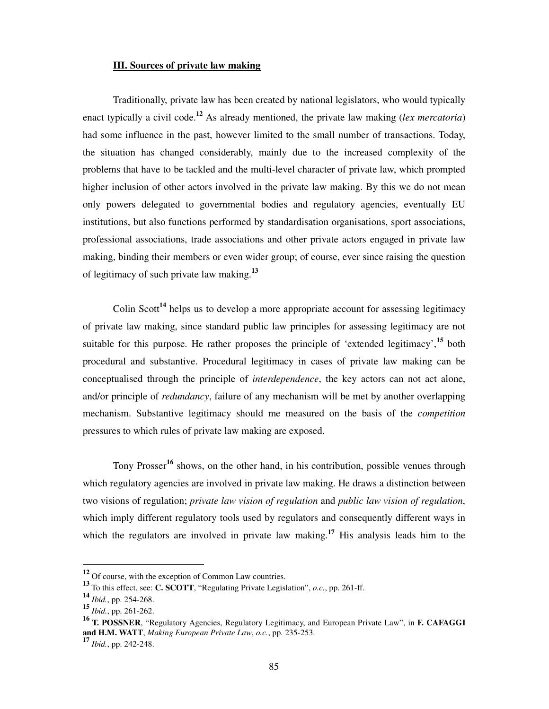# **III. Sources of private law making**

Traditionally, private law has been created by national legislators, who would typically enact typically a civil code.**<sup>12</sup>** As already mentioned, the private law making (*lex mercatoria*) had some influence in the past, however limited to the small number of transactions. Today, the situation has changed considerably, mainly due to the increased complexity of the problems that have to be tackled and the multi-level character of private law, which prompted higher inclusion of other actors involved in the private law making. By this we do not mean only powers delegated to governmental bodies and regulatory agencies, eventually EU institutions, but also functions performed by standardisation organisations, sport associations, professional associations, trade associations and other private actors engaged in private law making, binding their members or even wider group; of course, ever since raising the question of legitimacy of such private law making.**<sup>13</sup>**

Colin Scott<sup>14</sup> helps us to develop a more appropriate account for assessing legitimacy of private law making, since standard public law principles for assessing legitimacy are not suitable for this purpose. He rather proposes the principle of 'extended legitimacy',**<sup>15</sup>** both procedural and substantive. Procedural legitimacy in cases of private law making can be conceptualised through the principle of *interdependence*, the key actors can not act alone, and/or principle of *redundancy*, failure of any mechanism will be met by another overlapping mechanism. Substantive legitimacy should me measured on the basis of the *competition* pressures to which rules of private law making are exposed.

Tony Prosser**<sup>16</sup>** shows, on the other hand, in his contribution, possible venues through which regulatory agencies are involved in private law making. He draws a distinction between two visions of regulation; *private law vision of regulation* and *public law vision of regulation*, which imply different regulatory tools used by regulators and consequently different ways in which the regulators are involved in private law making.**<sup>17</sup>** His analysis leads him to the

**<sup>12</sup>** Of course, with the exception of Common Law countries.

**<sup>13</sup>** To this effect, see: **C. SCOTT**, "Regulating Private Legislation", *o.c.*, pp. 261-ff.

**<sup>14</sup>** *Ibid.*, pp. 254-268.

**<sup>15</sup>** *Ibid.*, pp. 261-262.

**<sup>16</sup> T. POSSNER**, "Regulatory Agencies, Regulatory Legitimacy, and European Private Law", in **F. CAFAGGI and H.M. WATT**, *Making European Private Law*, *o.c.*, pp. 235-253.

**<sup>17</sup>** *Ibid.*, pp. 242-248.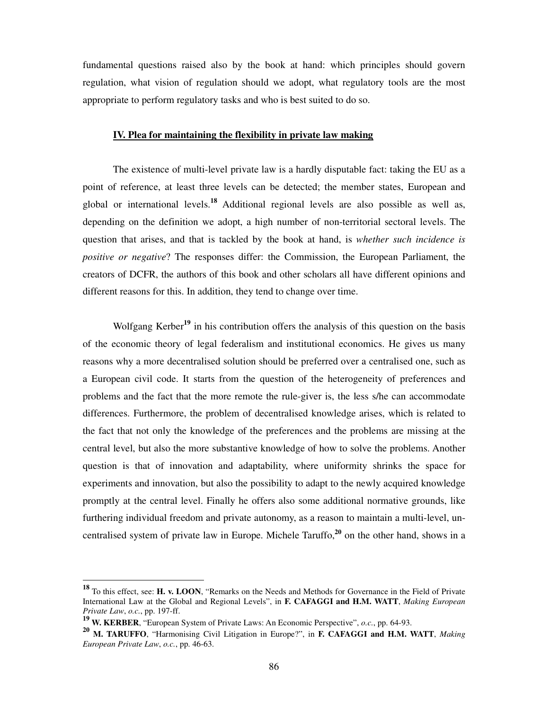fundamental questions raised also by the book at hand: which principles should govern regulation, what vision of regulation should we adopt, what regulatory tools are the most appropriate to perform regulatory tasks and who is best suited to do so.

#### **IV. Plea for maintaining the flexibility in private law making**

The existence of multi-level private law is a hardly disputable fact: taking the EU as a point of reference, at least three levels can be detected; the member states, European and global or international levels.**<sup>18</sup>** Additional regional levels are also possible as well as, depending on the definition we adopt, a high number of non-territorial sectoral levels. The question that arises, and that is tackled by the book at hand, is *whether such incidence is positive or negative*? The responses differ: the Commission, the European Parliament, the creators of DCFR, the authors of this book and other scholars all have different opinions and different reasons for this. In addition, they tend to change over time.

Wolfgang Kerber**<sup>19</sup>** in his contribution offers the analysis of this question on the basis of the economic theory of legal federalism and institutional economics. He gives us many reasons why a more decentralised solution should be preferred over a centralised one, such as a European civil code. It starts from the question of the heterogeneity of preferences and problems and the fact that the more remote the rule-giver is, the less s/he can accommodate differences. Furthermore, the problem of decentralised knowledge arises, which is related to the fact that not only the knowledge of the preferences and the problems are missing at the central level, but also the more substantive knowledge of how to solve the problems. Another question is that of innovation and adaptability, where uniformity shrinks the space for experiments and innovation, but also the possibility to adapt to the newly acquired knowledge promptly at the central level. Finally he offers also some additional normative grounds, like furthering individual freedom and private autonomy, as a reason to maintain a multi-level, uncentralised system of private law in Europe. Michele Taruffo,**<sup>20</sup>** on the other hand, shows in a

**<sup>18</sup>** To this effect, see: **H. v. LOON**, "Remarks on the Needs and Methods for Governance in the Field of Private International Law at the Global and Regional Levels", in **F. CAFAGGI and H.M. WATT**, *Making European Private Law*, *o.c.*, pp. 197-ff.

**<sup>19</sup> W. KERBER**, "European System of Private Laws: An Economic Perspective", *o.c.*, pp. 64-93.

**<sup>20</sup> M. TARUFFO**, "Harmonising Civil Litigation in Europe?", in **F. CAFAGGI and H.M. WATT**, *Making European Private Law*, *o.c.*, pp. 46-63.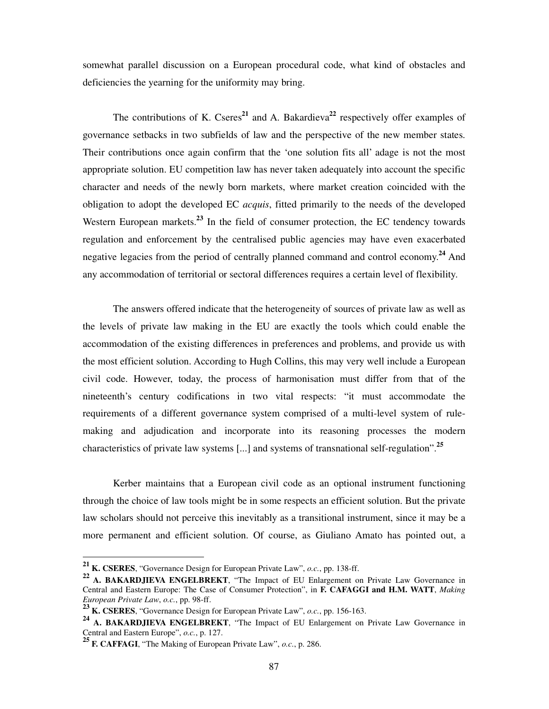somewhat parallel discussion on a European procedural code, what kind of obstacles and deficiencies the yearning for the uniformity may bring.

The contributions of K. Cseres<sup>21</sup> and A. Bakardieva<sup>22</sup> respectively offer examples of governance setbacks in two subfields of law and the perspective of the new member states. Their contributions once again confirm that the 'one solution fits all' adage is not the most appropriate solution. EU competition law has never taken adequately into account the specific character and needs of the newly born markets, where market creation coincided with the obligation to adopt the developed EC *acquis*, fitted primarily to the needs of the developed Western European markets.<sup>23</sup> In the field of consumer protection, the EC tendency towards regulation and enforcement by the centralised public agencies may have even exacerbated negative legacies from the period of centrally planned command and control economy.**<sup>24</sup>** And any accommodation of territorial or sectoral differences requires a certain level of flexibility.

The answers offered indicate that the heterogeneity of sources of private law as well as the levels of private law making in the EU are exactly the tools which could enable the accommodation of the existing differences in preferences and problems, and provide us with the most efficient solution. According to Hugh Collins, this may very well include a European civil code. However, today, the process of harmonisation must differ from that of the nineteenth's century codifications in two vital respects: "it must accommodate the requirements of a different governance system comprised of a multi-level system of rulemaking and adjudication and incorporate into its reasoning processes the modern characteristics of private law systems [...] and systems of transnational self-regulation".**<sup>25</sup>** 

Kerber maintains that a European civil code as an optional instrument functioning through the choice of law tools might be in some respects an efficient solution. But the private law scholars should not perceive this inevitably as a transitional instrument, since it may be a more permanent and efficient solution. Of course, as Giuliano Amato has pointed out, a

**<sup>21</sup> K. CSERES**, "Governance Design for European Private Law", *o.c.*, pp. 138-ff.

**<sup>22</sup> A. BAKARDJIEVA ENGELBREKT**, "The Impact of EU Enlargement on Private Law Governance in Central and Eastern Europe: The Case of Consumer Protection", in **F. CAFAGGI and H.M. WATT**, *Making European Private Law*, *o.c.*, pp. 98-ff.

**<sup>23</sup> K. CSERES**, "Governance Design for European Private Law", *o.c.*, pp. 156-163.

**<sup>24</sup> A. BAKARDJIEVA ENGELBREKT**, "The Impact of EU Enlargement on Private Law Governance in Central and Eastern Europe", *o.c.*, p. 127.

**<sup>25</sup> F. CAFFAGI**, "The Making of European Private Law", *o.c.*, p. 286.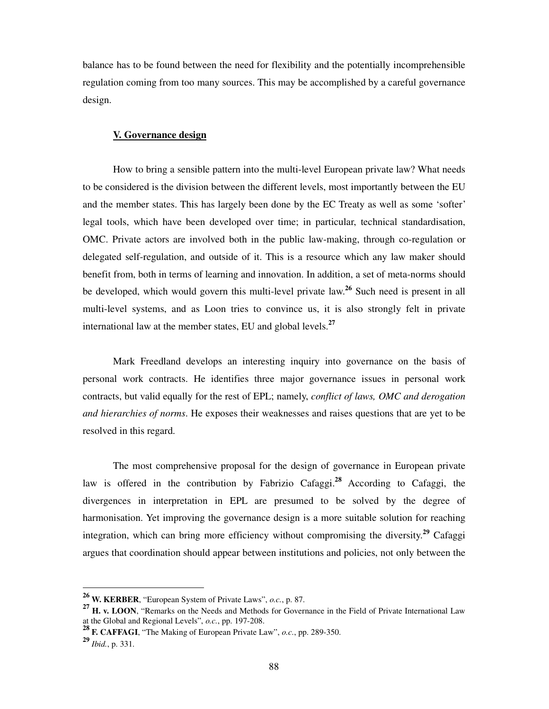balance has to be found between the need for flexibility and the potentially incomprehensible regulation coming from too many sources. This may be accomplished by a careful governance design.

#### **V. Governance design**

How to bring a sensible pattern into the multi-level European private law? What needs to be considered is the division between the different levels, most importantly between the EU and the member states. This has largely been done by the EC Treaty as well as some 'softer' legal tools, which have been developed over time; in particular, technical standardisation, OMC. Private actors are involved both in the public law-making, through co-regulation or delegated self-regulation, and outside of it. This is a resource which any law maker should benefit from, both in terms of learning and innovation. In addition, a set of meta-norms should be developed, which would govern this multi-level private law. **<sup>26</sup>** Such need is present in all multi-level systems, and as Loon tries to convince us, it is also strongly felt in private international law at the member states, EU and global levels.**<sup>27</sup>**

Mark Freedland develops an interesting inquiry into governance on the basis of personal work contracts. He identifies three major governance issues in personal work contracts, but valid equally for the rest of EPL; namely, *conflict of laws, OMC and derogation and hierarchies of norms*. He exposes their weaknesses and raises questions that are yet to be resolved in this regard.

The most comprehensive proposal for the design of governance in European private law is offered in the contribution by Fabrizio Cafaggi.**<sup>28</sup>** According to Cafaggi, the divergences in interpretation in EPL are presumed to be solved by the degree of harmonisation. Yet improving the governance design is a more suitable solution for reaching integration, which can bring more efficiency without compromising the diversity.**<sup>29</sup>** Cafaggi argues that coordination should appear between institutions and policies, not only between the

**<sup>26</sup> W. KERBER**, "European System of Private Laws", *o.c.*, p. 87.

**<sup>27</sup> H. v. LOON**, "Remarks on the Needs and Methods for Governance in the Field of Private International Law at the Global and Regional Levels", *o.c.*, pp. 197-208.

**<sup>28</sup> F. CAFFAGI**, "The Making of European Private Law", *o.c.*, pp. 289-350.

**<sup>29</sup>** *Ibid.*, p. 331.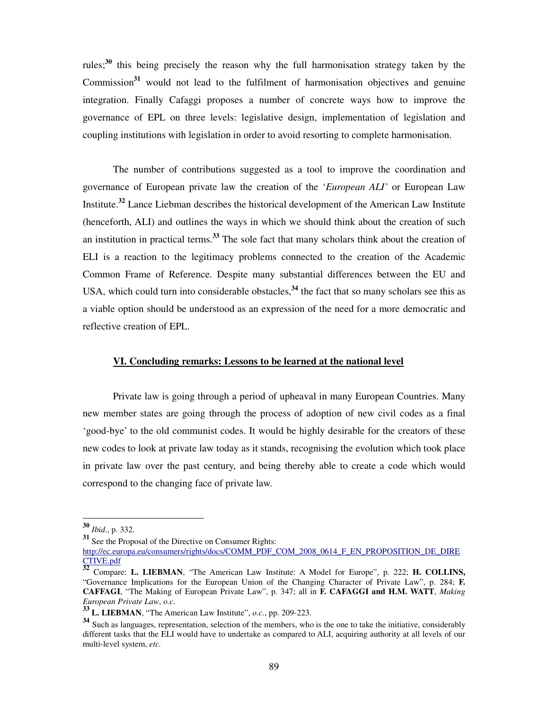rules;**<sup>30</sup>** this being precisely the reason why the full harmonisation strategy taken by the Commission**<sup>31</sup>** would not lead to the fulfilment of harmonisation objectives and genuine integration. Finally Cafaggi proposes a number of concrete ways how to improve the governance of EPL on three levels: legislative design, implementation of legislation and coupling institutions with legislation in order to avoid resorting to complete harmonisation.

The number of contributions suggested as a tool to improve the coordination and governance of European private law the creation of the '*European ALI'* or European Law Institute.**<sup>32</sup>** Lance Liebman describes the historical development of the American Law Institute (henceforth, ALI) and outlines the ways in which we should think about the creation of such an institution in practical terms.**<sup>33</sup>** The sole fact that many scholars think about the creation of ELI is a reaction to the legitimacy problems connected to the creation of the Academic Common Frame of Reference. Despite many substantial differences between the EU and USA, which could turn into considerable obstacles,**<sup>34</sup>** the fact that so many scholars see this as a viable option should be understood as an expression of the need for a more democratic and reflective creation of EPL.

# **VI. Concluding remarks: Lessons to be learned at the national level**

Private law is going through a period of upheaval in many European Countries. Many new member states are going through the process of adoption of new civil codes as a final 'good-bye' to the old communist codes. It would be highly desirable for the creators of these new codes to look at private law today as it stands, recognising the evolution which took place in private law over the past century, and being thereby able to create a code which would correspond to the changing face of private law.

**<sup>30</sup>** *Ibid*., p. 332.

**<sup>31</sup>** See the Proposal of the Directive on Consumer Rights:

http://ec.europa.eu/consumers/rights/docs/COMM\_PDF\_COM\_2008\_0614\_F\_EN\_PROPOSITION\_DE\_DIRE CTIVE.pdf

**<sup>32</sup>** Compare: **L. LIEBMAN**, "The American Law Institute: A Model for Europe", p. 222; **H. COLLINS,** "Governance Implications for the European Union of the Changing Character of Private Law", p. 284; **F. CAFFAGI**, "The Making of European Private Law", p. 347; all in **F. CAFAGGI and H.M. WATT**, *Making European Private Law*, *o.c.*

**<sup>33</sup> L. LIEBMAN**, "The American Law Institute", *o.c.*, pp. 209-223.

**<sup>34</sup>** Such as languages, representation, selection of the members, who is the one to take the initiative, considerably different tasks that the ELI would have to undertake as compared to ALI, acquiring authority at all levels of our multi-level system, *etc.*